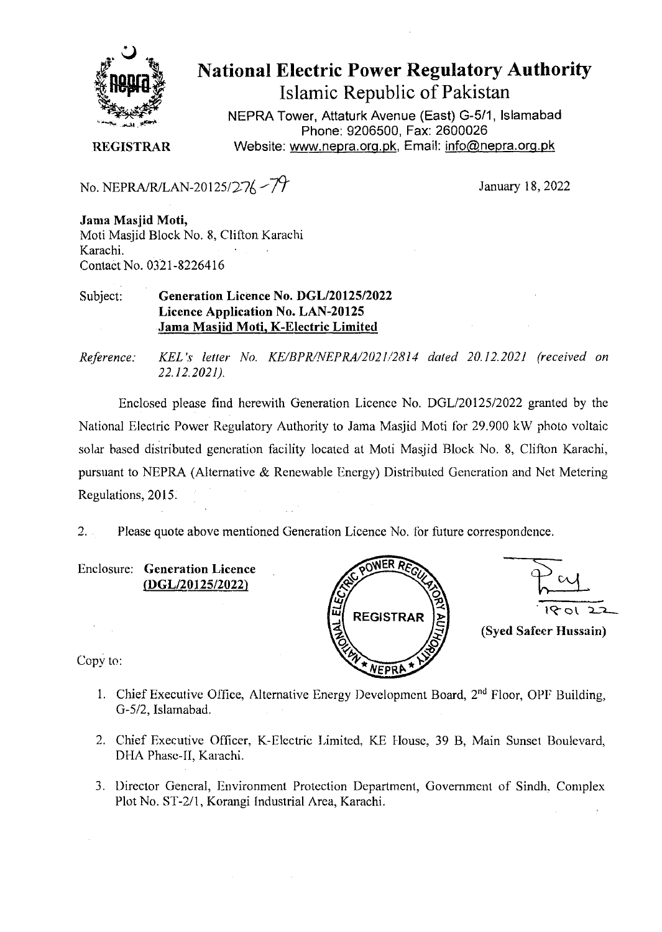

**National Electric Power Regulatory Authority Islamic Republic of Pakistan** 

NEPRA Tower, Attaturk Avenue (East) G-5/1, **Islamabad Phone: 9206500, Fax:** *2600026* 

**REGISTRAR** Website: www.nepra.org.pk, Email: info@nepra.org.pk

No. NEPRA/R/LAN-20125/27/ $\frac{7}{7}$ 

January 18, 2022

**Jama Masjid Moti,** Moti Masjid Block No. 8, Clifton Karachi Karachi. Contaêt No. 0321-8226416

## Subject: **Generation Licence No. DGL/20125/2022 Licence Application No. LAN-20125 Jama Masjid Moti, K-Electric Limited**

*Reference: KEL 's letter No. KE/BPK/NEPRA/202//2814 dated 20.12.2021 (received on 22.12.2021).* 

Enclosed please find herewith Generation Licence No. DGL/20125/2022 granted by the National Electric Power Regulatory Authority to Jama Masjid Moti for 29.900 kW photo voltaic solar based distributed generation facility located at Moti Masjid Block No. 8, Clifton Karachi, pursuant to NEPPA (Alternative & Renewable Energy) Distributed Generation and Net Metering Regulations, 20l5

Please quote above mentioned Generation Licence No. for future correspondence.  $2.$ 

Enclosure: **Generation Licence**  *(DGL/2012512022)* 

Copy to:



- 1. Chief Executive Office, Alternative Energy Development Board,  $2<sup>nd</sup>$  Floor, OPF Building, *G-5/2,* Islarnahad.
- 2. Chief Executive Officer, K-Electric Limited, KE House, 39 B, Main Sunset Boulevard, DHA Phase-II, Karachi.
- 3. Director General, Environment Protection Department, Government of Sindh. Complex Plot No. ST-2/l, Korangi Industrial Area, Karachi.